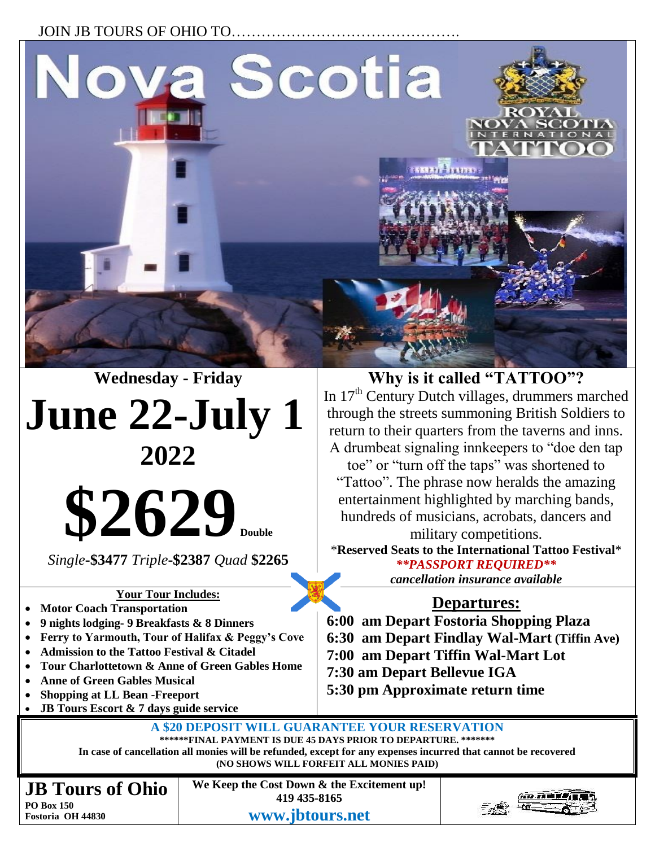### JOIN JB TOURS OF OHIO TO...



# **June 22-July 1 2022**

**\$2629** 

*Single***-\$3477** *Triple***-\$2387** *Quad* **\$2265**

#### **Your Tour Includes:**

- **Motor Coach Transportation**
- **9 nights lodging- 9 Breakfasts & 8 Dinners**
- **Ferry to Yarmouth, Tour of Halifax & Peggy's Cove**
- **Admission to the Tattoo Festival & Citadel**
- **Tour Charlottetown & Anne of Green Gables Home**
- **Anne of Green Gables Musical**
- **Shopping at LL Bean -Freeport**
- **JB Tours Escort & 7 days guide service**

**Why is it called "TATTOO"?**  In 17<sup>th</sup> Century Dutch villages, drummers marched through the streets summoning British Soldiers to return to their quarters from the taverns and inns. A drumbeat signaling innkeepers to "doe den tap toe" or "turn off the taps" was shortened to "Tattoo". The phrase now heralds the amazing entertainment highlighted by marching bands, hundreds of musicians, acrobats, dancers and military competitions. \***Reserved Seats to the International Tattoo Festival**\*

*\*\*PASSPORT REQUIRED\*\* cancellation insurance available*

## **Departures:**

- **6:00 am Depart Fostoria Shopping Plaza**
- **6:30 am Depart Findlay Wal-Mart (Tiffin Ave)**
- **7:00 am Depart Tiffin Wal-Mart Lot**
- **7:30 am Depart Bellevue IGA**
- **5:30 pm Approximate return time**

**A \$20 DEPOSIT WILL GUARANTEE YOUR RESERVATION \*\*\*\*\*\*FINAL PAYMENT IS DUE 45 DAYS PRIOR TO DEPARTURE. \*\*\*\*\*\*\***

**In case of cancellation all monies will be refunded, except for any expenses incurred that cannot be recovered (NO SHOWS WILL FORFEIT ALL MONIES PAID)**

**JB Tours of Ohio PO Box 150 Fostoria OH 44830**

**We Keep the Cost Down & the Excitement up! 419 435-8165 www.jbtours.net**